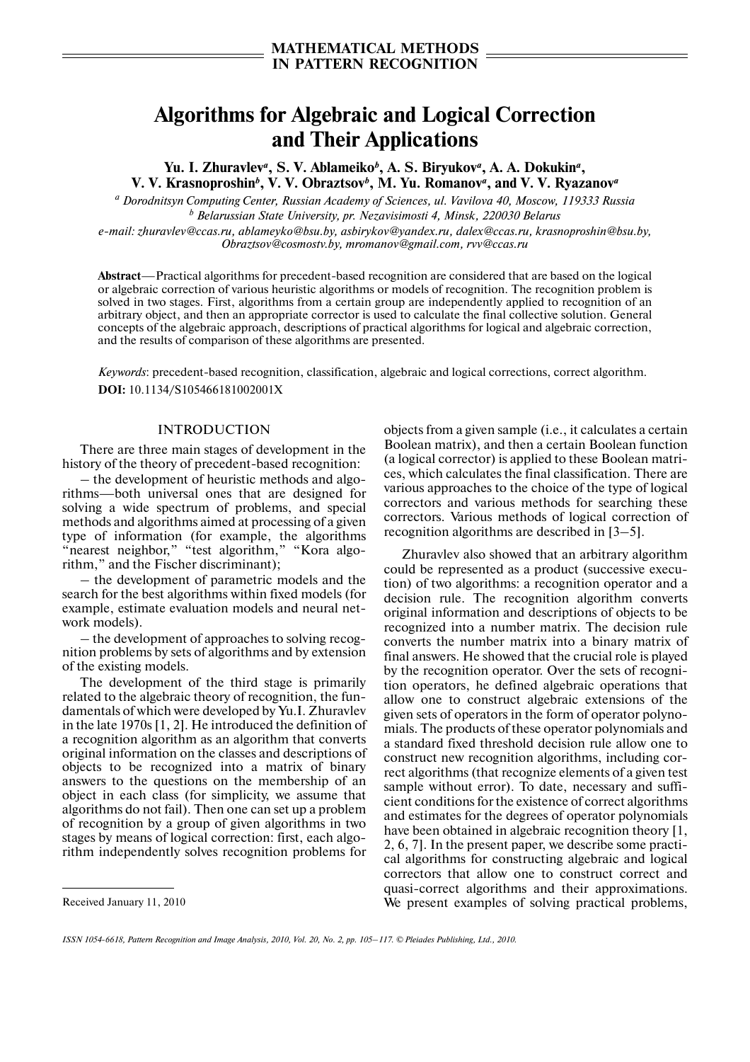# **Algorithms for Algebraic and Logical Correction and Their Applications**

Yu. I. Zhuravlev<sup>a</sup>, S. V. Ablameiko<sup>b</sup>, A. S. Biryukov<sup>a</sup>, A. A. Dokukin<sup>a</sup>, **V. V. Krasnoproshin***<sup>b</sup>* **, V. V. Obraztsov***<sup>b</sup>* **, M. Yu. Romanov***<sup>a</sup>* **, and V. V. Ryazanov***<sup>a</sup>*

*a Dorodnitsyn Computing Center, Russian Academy of Sciences, ul. Vavilova 40, Moscow, 119333 Russia b Belarussian State University, pr. Nezavisimosti 4, Minsk, 220030 Belarus*

*e-mail: zhuravlev@ccas.ru, ablameyko@bsu.by, asbirykov@yandex.ru, dalex@ccas.ru, krasnoproshin@bsu.by, Obraztsov@cosmostv.by, mromanov@gmail.com, rvv@ccas.ru*

**Abstract**—Practical algorithms for precedent-based recognition are considered that are based on the logical or algebraic correction of various heuristic algorithms or models of recognition. The recognition problem is solved in two stages. First, algorithms from a certain group are independently applied to recognition of an arbitrary object, and then an appropriate corrector is used to calculate the final collective solution. General concepts of the algebraic approach, descriptions of practical algorithms for logical and algebraic correction, and the results of comparison of these algorithms are presented.

*Keywords*: precedent-based recognition, classification, algebraic and logical corrections, correct algorithm. **DOI:** 10.1134/S105466181002001X

### INTRODUCTION

There are three main stages of development in the history of the theory of precedent-based recognition:

– the development of heuristic methods and algo rithms—both universal ones that are designed for solving a wide spectrum of problems, and special methods and algorithms aimed at processing of a given type of information (for example, the algorithms "nearest neighbor," "test algorithm," "Kora algorithm," and the Fischer discriminant);

– the development of parametric models and the search for the best algorithms within fixed models (for example, estimate evaluation models and neural net work models).

– the development of approaches to solving recog nition problems by sets of algorithms and by extension of the existing models.

The development of the third stage is primarily related to the algebraic theory of recognition, the fun damentals of which were developed by Yu.I. Zhuravlev in the late 1970s [1, 2]. He introduced the definition of a recognition algorithm as an algorithm that converts original information on the classes and descriptions of objects to be recognized into a matrix of binary answers to the questions on the membership of an object in each class (for simplicity, we assume that algorithms do not fail). Then one can set up a problem of recognition by a group of given algorithms in two stages by means of logical correction: first, each algo rithm independently solves recognition problems for

Received January 11, 2010

objects from a given sample (i.e., it calculates a certain Boolean matrix), and then a certain Boolean function (a logical corrector) is applied to these Boolean matri ces, which calculates the final classification. There are various approaches to the choice of the type of logical correctors and various methods for searching these correctors. Various methods of logical correction of recognition algorithms are described in [3–5].

Zhuravlev also showed that an arbitrary algorithm could be represented as a product (successive execu tion) of two algorithms: a recognition operator and a decision rule. The recognition algorithm converts original information and descriptions of objects to be recognized into a number matrix. The decision rule converts the number matrix into a binary matrix of final answers. He showed that the crucial role is played by the recognition operator. Over the sets of recogni tion operators, he defined algebraic operations that allow one to construct algebraic extensions of the given sets of operators in the form of operator polyno mials. The products of these operator polynomials and a standard fixed threshold decision rule allow one to construct new recognition algorithms, including cor rect algorithms (that recognize elements of a given test sample without error). To date, necessary and suffi cient conditions for the existence of correct algorithms and estimates for the degrees of operator polynomials have been obtained in algebraic recognition theory [1, 2, 6, 7]. In the present paper, we describe some practi cal algorithms for constructing algebraic and logical correctors that allow one to construct correct and quasi-correct algorithms and their approximations. We present examples of solving practical problems,

*ISSN 1054-6618, Pattern Recognition and Image Analysis, 2010, Vol. 20, No. 2, pp. 105–117. © Pleiades Publishing, Ltd., 2010.*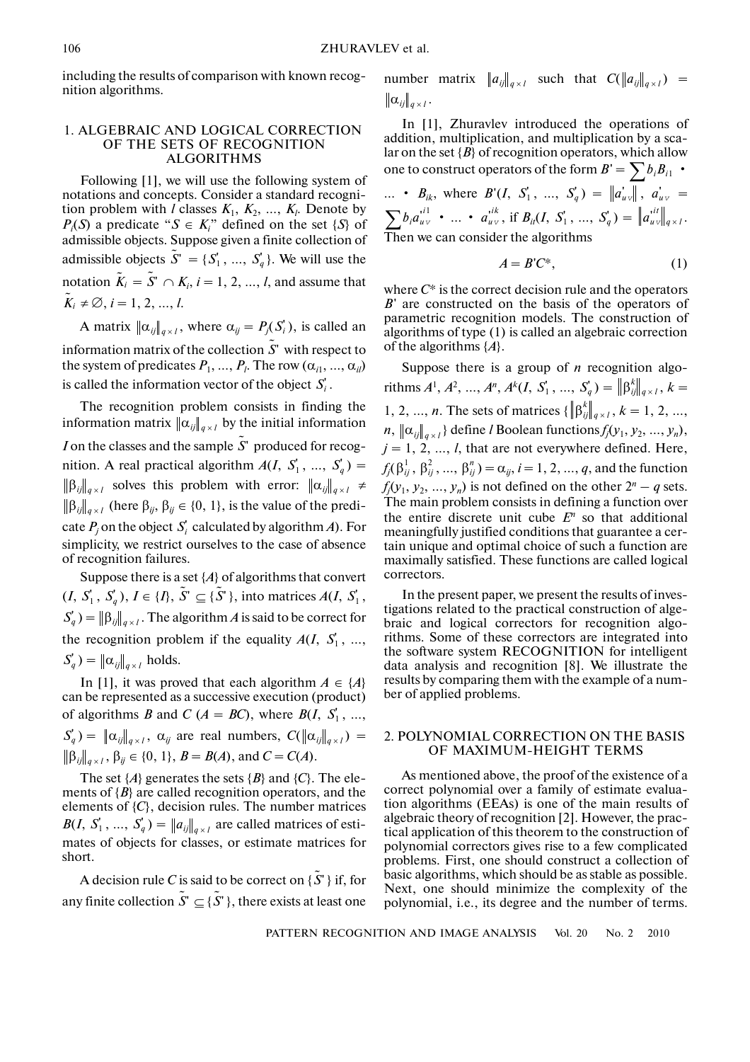including the results of comparison with known recog nition algorithms.

## 1. ALGEBRAIC AND LOGICAL CORRECTION OF THE SETS OF RECOGNITION ALGORITHMS

Following [1], we will use the following system of notations and concepts. Consider a standard recogni tion problem with *l* classes  $K_1, K_2, ..., K_l$ . Denote by  $P_i(S)$  a predicate " $S \in K_i$ " defined on the set  $\{S\}$  of admissible objects. Suppose given a finite collection of admissible objects  $\tilde{S}^{\cdot} = \{S_1^{\cdot}, ..., S_q^{\cdot}\}$ . We will use the notation  $\tilde{K}_i = \tilde{S}^r \cap K_i$ ,  $i = 1, 2, ..., l$ , and assume that  $\tilde{K}_i \neq \emptyset, i = 1, 2, ..., l.$ 

A matrix  $\|\alpha_{ij}\|_{q \times l}$ , where  $\alpha_{ij} = P_j(S'_i)$ , is called an information matrix of the collection  $S'$  with respect to the system of predicates  $P_1, ..., P_l$ . The row  $(\alpha_{i1}, ..., \alpha_{il})$ is called the information vector of the object  $S_i'$ .  $\tilde{S}$ <sup> $\sim$ </sup>

The recognition problem consists in finding the information matrix  $\|\alpha_{ij}\|_{q\times l}$  by the initial information *I* on the classes and the sample  $\tilde{S}$ <sup>r</sup> produced for recognition. A real practical algorithm  $A(I, S_1, ..., S_q)$  =  $\left. \beta_{ij} \right|_{q \times l}$  solves this problem with error:  $\left. \|\alpha_{ij}\|_{q \times l} \right. \neq$  $\left[\beta_{ij}\right]_{q\times l}$  (here  $\beta_{ij}, \beta_{ij} \in \{0, 1\}$ , is the value of the predicate  $P_j$  on the object  $S'_i$  calculated by algorithm *A*). For simplicity, we restrict ourselves to the case of absence of recognition failures.

Suppose there is a set  $\{A\}$  of algorithms that convert  $(I, S'_1, S'_q), I \in \{I\}, \tilde{S}' \subseteq \{\tilde{S}'\}, \text{ into matrices } A(I, S'_1,$  $S'_q$ ) =  $\left\| \beta_{ij} \right\|_{q \times l}$ . The algorithm *A* is said to be correct for the recognition problem if the equality  $A(I, S_1', ...,$  $S_q'$ ) =  $\|\alpha_{ij}\|_{q\times l}$  holds.

In [1], it was proved that each algorithm  $A \in \{A\}$ can be represented as a successive execution (product) of algorithms *B* and *C* ( $A = BC$ ), where  $B(I, S_1, ...,$  $S_q$ ) =  $\|\alpha_{ij}\|_{q\times l}$ ,  $\alpha_{ij}$  are real numbers,  $C(\|\alpha_{ij}\|_{q\times l})$  =  $\beta_{ij} \|_{q \times l}, \beta_{ij} \in \{0, 1\}, B = B(A)$ , and  $C = C(A)$ .

The set  $\{A\}$  generates the sets  $\{B\}$  and  $\{C\}$ . The elements of  ${B}$  are called recognition operators, and the elements of  $\{C\}$ , decision rules. The number matrices  $B(I, S'_1, ..., S'_q) = ||a_{ij}||_{q \times l}$  are called matrices of estimates of objects for classes, or estimate matrices for short.

A decision rule *C* is said to be correct on { $\tilde{S}$ ' } if, for any finite collection  $\tilde{S}' \subseteq {\tilde{S}}'$  }, there exists at least one

number matrix 
$$
||a_{ij}||_{q \times l}
$$
 such that  $C(||a_{ij}||_{q \times l}) = ||\alpha_{ij}||_{q \times l}$ .

In [1], Zhuravlev introduced the operations of addition, multiplication, and multiplication by a sca lar on the set  ${B}$  of recognition operators, which allow one to construct operators of the form  $B' = \sum b_i B_{i1}$  •

$$
\begin{aligned}\n\therefore \quad B_{ik}, \text{ where } B'(I, S_1', \dots, S_q') &= \|a_{uv}\|, \ a_{uv}' = \\
\sum b_i a_{uv}^{i\ell} \cdot \dots \cdot a_{uv}^{i\ell}, \text{ if } B_{il}(I, S_1', \dots, S_q') &= \|a_{uv}^{i\ell}\|_{q \times l}.\n\end{aligned}
$$
\nThen we can consider the algorithms

$$
A = B'C^*,\tag{1}
$$

where *C*\* is the correct decision rule and the operators *B*' are constructed on the basis of the operators of parametric recognition models. The construction of algorithms of type (1) is called an algebraic correction of the algorithms {*A*}.

Suppose there is a group of *n* recognition algo-  $\text{rithms } A^1, A^2, ..., A^n, A^k(I, S_1', ..., S_q') = \left\| \beta_{ij}^k \right\|_{q \times I}, k = 1, 2, ..., K_q$ 1, 2, ..., *n*. The sets of matrices  $\{\|\beta_{ij}^k\|_{q \times 1}, k = 1, 2, ...,$  $n$ ,  $\|\alpha_{ij}\|_{q\times l}$  define *l* Boolean functions  $f_j(y_1, y_2, ..., y_n)$ ,  $j = 1, 2, ..., l$ , that are not everywhere defined. Here,  $f_j(\beta_{ij}^1, \beta_{ij}^2, ..., \beta_{ij}^n) = \alpha_{ij}, i = 1, 2, ..., q$ , and the function  $f_j(y_1, y_2, ..., y_n)$  is not defined on the other  $2^n - q$  sets. The main problem consists in defining a function over the entire discrete unit cube  $E<sup>n</sup>$  so that additional meaningfully justified conditions that guarantee a cer tain unique and optimal choice of such a function are maximally satisfied. These functions are called logical correctors.  $q \times l$  $q \times l$ 

In the present paper, we present the results of inves tigations related to the practical construction of alge braic and logical correctors for recognition algo rithms. Some of these correctors are integrated into the software system RECOGNITION for intelligent data analysis and recognition [8]. We illustrate the results by comparing them with the example of a num ber of applied problems.

# 2. POLYNOMIAL CORRECTION ON THE BASIS OF MAXIMUM-HEIGHT TERMS

As mentioned above, the proof of the existence of a correct polynomial over a family of estimate evalua tion algorithms (EEAs) is one of the main results of algebraic theory of recognition [2]. However, the prac tical application of this theorem to the construction of polynomial correctors gives rise to a few complicated problems. First, one should construct a collection of basic algorithms, which should be as stable as possible. Next, one should minimize the complexity of the polynomial, i.e., its degree and the number of terms.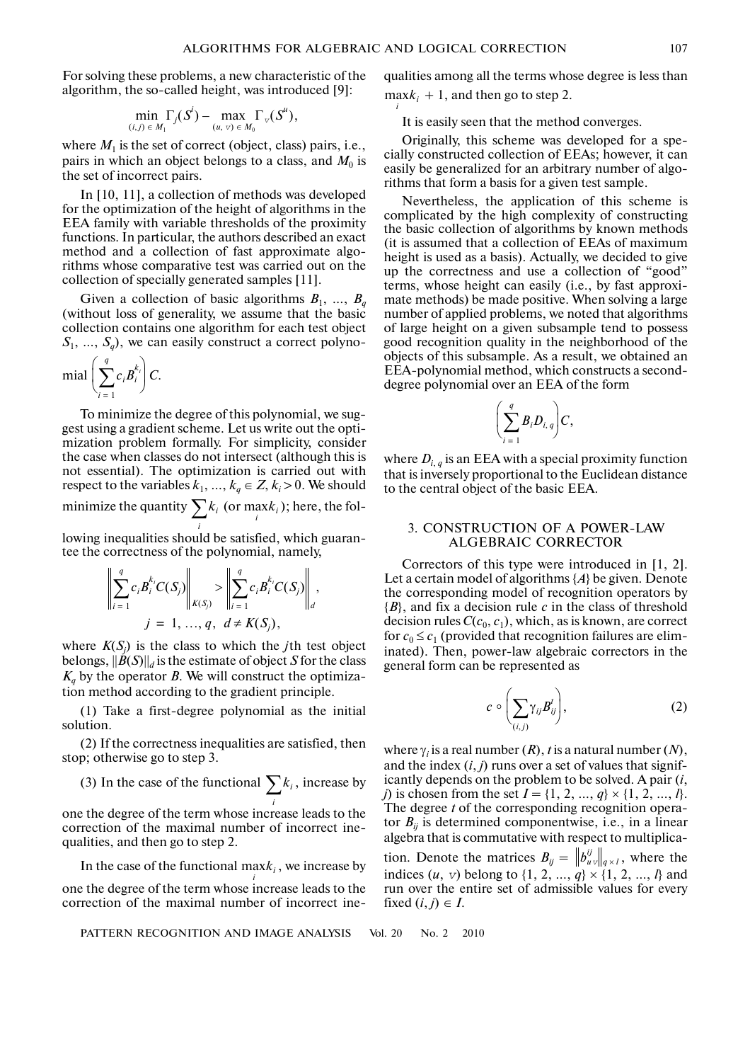For solving these problems, a new characteristic of the algorithm, the so-called height, was introduced [9]:

$$
\min_{(i,j)\in M_1} \Gamma_j(S^i) - \max_{(u,v)\in M_0} \Gamma_{v}(S^u),
$$

where  $M_1$  is the set of correct (object, class) pairs, i.e., pairs in which an object belongs to a class, and  $M_0$  is the set of incorrect pairs.

In [10, 11], a collection of methods was developed for the optimization of the height of algorithms in the EEA family with variable thresholds of the proximity functions. In particular, the authors described an exact method and a collection of fast approximate algo rithms whose comparative test was carried out on the collection of specially generated samples [11].

Given a collection of basic algorithms  $B_1$ , ...,  $B_a$ (without loss of generality, we assume that the basic collection contains one algorithm for each test object  $S_1$ , ...,  $S_q$ ), we can easily construct a correct polyno-

$$
\operatorname{mial}\left(\sum_{i=1}^q c_i B_i^{k_i}\right) C.
$$

To minimize the degree of this polynomial, we sug gest using a gradient scheme. Let us write out the opti mization problem formally. For simplicity, consider the case when classes do not intersect (although this is not essential). The optimization is carried out with respect to the variables  $k_1, ..., k_q \in \mathbb{Z}, k_i > 0$ . We should minimize the quantity  $\sum k_i$  (or max $k_i$ ); here, the fol- $\sum_{i} k_i$  (or  $\max_{i} k_i$ )

lowing inequalities should be satisfied, which guaran tee the correctness of the polynomial, namely,

$$
\left\| \sum_{i=1}^{q} c_i B_i^{k_i} C(S_j) \right\|_{K(S_j)} > \left\| \sum_{i=1}^{q} c_i B_i^{k_i} C(S_j) \right\|_{d},
$$
  

$$
j = 1, ..., q, d \neq K(S_j),
$$

where  $K(S_j)$  is the class to which the *j*th test object belongs,  $||B(S)||_d$  is the estimate of object *S* for the class  $K_q$  by the operator *B*. We will construct the optimization method according to the gradient principle.

(1) Take a first-degree polynomial as the initial solution.

(2) If the correctness inequalities are satisfied, then stop; otherwise go to step 3.

(3) In the case of the functional  $\sum k_i$ , increase by *i*

one the degree of the term whose increase leads to the correction of the maximal number of incorrect ine qualities, and then go to step 2.

In the case of the functional  $\max_{i} k_i$ , we increase by

one the degree of the term whose increase leads to the correction of the maximal number of incorrect ine-

PATTERN RECOGNITION AND IMAGE ANALYSIS Vol. 20 No. 2 2010

qualities among all the terms whose degree is less than  $\max_{i} k_i + 1$ , and then go to step 2.

It is easily seen that the method converges.

Originally, this scheme was developed for a spe cially constructed collection of EEAs; however, it can easily be generalized for an arbitrary number of algo rithms that form a basis for a given test sample.

Nevertheless, the application of this scheme is complicated by the high complexity of constructing the basic collection of algorithms by known methods (it is assumed that a collection of EEAs of maximum height is used as a basis). Actually, we decided to give up the correctness and use a collection of "good" terms, whose height can easily (i.e., by fast approxi mate methods) be made positive. When solving a large number of applied problems, we noted that algorithms of large height on a given subsample tend to possess good recognition quality in the neighborhood of the objects of this subsample. As a result, we obtained an EEA-polynomial method, which constructs a second degree polynomial over an EEA of the form

$$
\left(\sum_{i=1}^q B_i D_{i,q}\right)C,
$$

where  $D_{i,q}$  is an EEA with a special proximity function that is inversely proportional to the Euclidean distance to the central object of the basic EEA.

## 3. CONSTRUCTION OF A POWER-LAW ALGEBRAIC CORRECTOR

Correctors of this type were introduced in [1, 2]. Let a certain model of algorithms {*A*} be given. Denote the corresponding model of recognition operators by {*B*}, and fix a decision rule *c* in the class of threshold decision rules  $C(c_0, c_1)$ , which, as is known, are correct for  $c_0 \leq c_1$  (provided that recognition failures are eliminated). Then, power-law algebraic correctors in the general form can be represented as

$$
c \circ \left(\sum_{(i,j)} \gamma_{ij} B_{ij}'\right), \tag{2}
$$

where  $\gamma_i$  is a real number  $(R)$ , *t* is a natural number  $(N)$ , and the index  $(i, j)$  runs over a set of values that significantly depends on the problem to be solved. A pair (*i*, *j*) is chosen from the set  $I = \{1, 2, ..., q\} \times \{1, 2, ..., l\}$ . The degree *t* of the corresponding recognition opera tor  $B_{ii}$  is determined componentwise, i.e., in a linear algebra that is commutative with respect to multiplica tion. Denote the matrices  $B_{ij} = ||b_{uv}^{ij}||_{q \times I}$ , where the indices  $(u, v)$  belong to  $\{1, 2, ..., q\} \times \{1, 2, ..., l\}$  and run over the entire set of admissible values for every fixed  $(i, j) \in I$ .  $q \times l$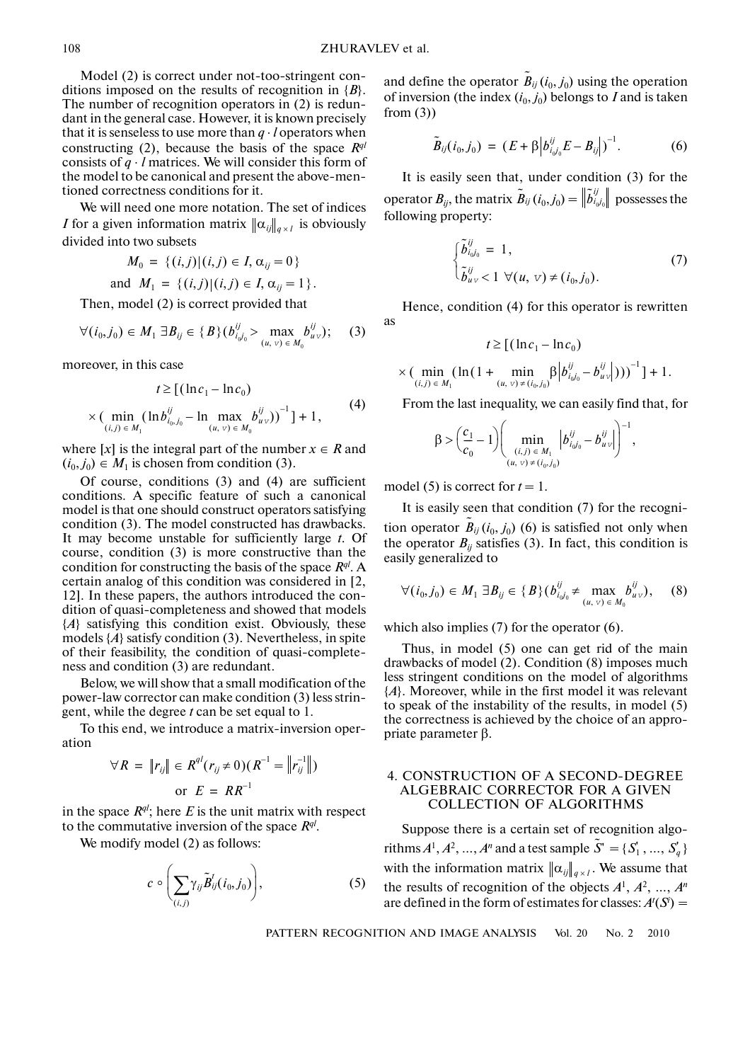Model (2) is correct under not-too-stringent con ditions imposed on the results of recognition in {*B*}. The number of recognition operators in (2) is redun dant in the general case. However, it is known precisely that it is senseless to use more than *q* ⋅ *l* operators when constructing (2), because the basis of the space  $R^{ql}$ consists of *q* ⋅ *l* matrices. We will consider this form of the model to be canonical and present the above-men tioned correctness conditions for it.

We will need one more notation. The set of indices *I* for a given information matrix  $\|\alpha_{ij}\|_{q \times l}$  is obviously divided into two subsets

$$
M_0 = \{(i,j) | (i,j) \in I, \alpha_{ij} = 0\}
$$

and  $M_1 = \{ (i, j) | (i, j) \in I, \alpha_{ij} = 1 \}$ .

Then, model (2) is correct provided that

$$
\forall (i_0, j_0) \in M_1 \; \exists B_{ij} \in \{B\} (b_{i_0 j_0}^{ij} > \max_{(u, v) \in M_0} b_{u v}^{ij}); \quad (3)
$$

moreover, in this case

$$
t \geq \left[ (\ln c_1 - \ln c_0) \times (\min_{(i,j) \in M_1} (\ln b_{i_0, j_0}^{ij} - \ln \max_{(u, v) \in M_0} b_{u v}^{ij}))^{-1} \right] + 1,
$$
 (4)

where  $[x]$  is the integral part of the number  $x \in R$  and  $(i_0, j_0) \in M_1$  is chosen from condition (3).

Of course, conditions (3) and (4) are sufficient conditions. A specific feature of such a canonical model is that one should construct operators satisfying condition (3). The model constructed has drawbacks. It may become unstable for sufficiently large *t*. Of course, condition (3) is more constructive than the condition for constructing the basis of the space  $R^{ql}$ . A certain analog of this condition was considered in [2, 12]. In these papers, the authors introduced the con dition of quasi-completeness and showed that models {*A*} satisfying this condition exist. Obviously, these models {*A*} satisfy condition (3). Nevertheless, in spite of their feasibility, the condition of quasi-complete ness and condition (3) are redundant.

Below, we will show that a small modification of the power-law corrector can make condition (3) less strin gent, while the degree *t* can be set equal to 1.

To this end, we introduce a matrix-inversion oper ation

$$
\forall R = \|r_{ij}\| \in R^{q} (r_{ij} \neq 0) (R^{-1} = \|r_{ij}^{-1}\|)
$$
  
or  $E = RR^{-1}$ 

in the space  $R^{ql}$ ; here  $E$  is the unit matrix with respect to the commutative inversion of the space  $R^{ql}$ .

We modify model (2) as follows:

$$
c \circ \left(\sum_{(i,j)} \gamma_{ij} \tilde{B}_{ij}^t(i_0,j_0)\right), \qquad (5)
$$

and define the operator  $\tilde{B}_{ij}$  ( $i_0$ ,  $j_0$ ) using the operation of inversion (the index  $(i_0, j_0)$  belongs to *I* and is taken from  $(3)$ )

$$
\tilde{B}_{ij}(i_0, j_0) = (E + \beta |b_{i_0 i_0}^{ij} E - B_{ij}|)^{-1}.
$$
 (6)

It is easily seen that, under condition (3) for the operator  $B_{ij}$ , the matrix  $\tilde{B}_{ij}\left(i_{0}, j_{0}\right)=\left\Vert \tilde{b}_{i_{0} j_{0}}^{ij}\right\Vert$  possesses the following property:

$$
\begin{cases}\n\tilde{b}_{i_0j_0}^{ij} = 1, \n\tilde{b}_{uv}^{ij} < 1 \ \forall (u, v) \neq (i_0, j_0).\n\end{cases}
$$
\n(7)

Hence, condition (4) for this operator is rewritten as

$$
t \geq [(\ln c_1 - \ln c_0)]
$$

$$
\times \left( \min_{(i,j) \in M_1} (\ln(1 + \min_{(u,v) \neq (i_0,j_0)} \beta \Big| b_{i_0j_0}^{ij} - b_{uv}^{ij}|)))^{-1} \right] + 1.
$$

From the last inequality, we can easily find that, for

$$
\beta > \left(\frac{c_1}{c_0} - 1\right) \left( \min_{\substack{(i,j) \in M_1 \\ (u, v) \neq (i_0, j_0)}} \left| b_{i_0 j_0}^{ij} - b_{u v}^{ij} \right| \right)^{-1},
$$

model (5) is correct for  $t = 1$ .

It is easily seen that condition (7) for the recogni tion operator  $\tilde{B}_{ij}$  ( $i_0$ ,  $j_0$ ) (6) is satisfied not only when the operator  $B_{ij}$  satisfies (3). In fact, this condition is easily generalized to

$$
\forall (i_0, j_0) \in M_1 \; \exists B_{ij} \in \{B\} (b_{i_0 j_0}^{ij} \neq \max_{(u, v) \in M_0} b_{u v}^{ij}), \quad (8)
$$

which also implies (7) for the operator (6).

Thus, in model (5) one can get rid of the main drawbacks of model (2). Condition (8) imposes much less stringent conditions on the model of algorithms {*A*}. Moreover, while in the first model it was relevant to speak of the instability of the results, in model (5) the correctness is achieved by the choice of an appro priate parameter β.

# 4. CONSTRUCTION OF A SECOND-DEGREE ALGEBRAIC CORRECTOR FOR A GIVEN COLLECTION OF ALGORITHMS

Suppose there is a certain set of recognition algo rithms  $A^1, A^2, ..., A^n$  and a test sample  $\tilde{S}^r = \{S_1^r, ..., S_q^r\}$ with the information matrix  $\|\alpha_{ij}\|_{q \times l}$ . We assume that the results of recognition of the objects  $A^1$ ,  $A^2$ , ...,  $A^n$ are defined in the form of estimates for classes:  $A'(S) =$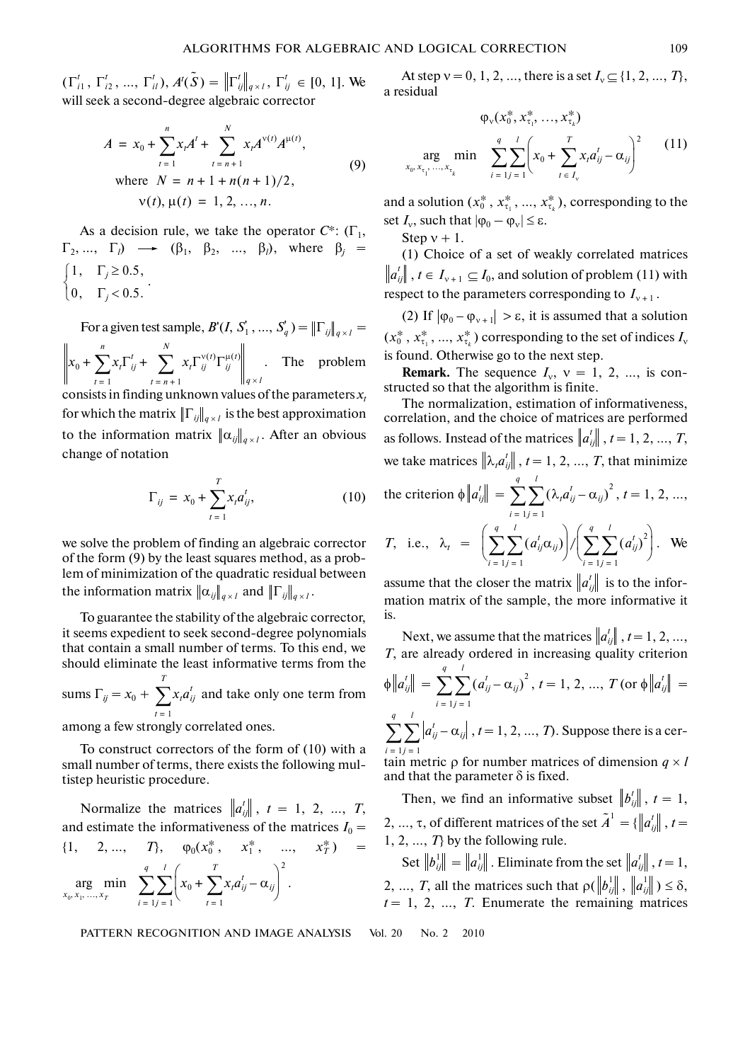$(\Gamma_{i1}^t, \Gamma_{i2}^t, ..., \Gamma_{i_l}^t), A^t(\tilde{S}) = ||\Gamma_{ij}^t||_{q \times l}, \Gamma_{ij}^t \in [0, 1].$  We will seek a second-degree algebraic corrector

$$
A = x_0 + \sum_{t=1}^{n} x_t A^t + \sum_{t=n+1}^{N} x_t A^{v(t)} A^{\mu(t)},
$$
  
where  $N = n + 1 + n(n + 1)/2,$   
 $v(t), \mu(t) = 1, 2, ..., n.$  (9)

As a decision rule, we take the operator  $C^*$ :  $(\Gamma_1, \Gamma_2)$  $\Gamma_2, ..., \Gamma_l$   $\longrightarrow$   $(\beta_1, \beta_2, ..., \beta_l)$ , where  $\beta_j$ .  $\int 1, \quad \Gamma_j \geq 0.5,$  $\begin{cases} 0, & \Gamma_i < 0.5. \end{cases}$ 

For a given test sample,  $B'(I, S'_1, ..., S'_q) = ||\Gamma_{ij}||_{q \times l} =$  $x_0 + \sum x_i \Gamma_{ij}^t + \sum x_i \Gamma_{ij}^{v(t)} \Gamma_{ij}^{\mu(t)}$  . The problem consists in finding unknown values of the parameters  $x_t$  $t = n + 1$ *N* <sup>+</sup> ∑ *t* = 1 *n* <sup>+</sup> ∑  $q \times l$ 

for which the matrix  $\left\| \Gamma_{ij} \right\|_{q \times l}$  is the best approximation to the information matrix  $\|\alpha_{ij}\|_{q\times l}$ . After an obvious change of notation

$$
\Gamma_{ij} = x_0 + \sum_{t=1}^{T} x_t a_{ij}^t, \tag{10}
$$

we solve the problem of finding an algebraic corrector of the form (9) by the least squares method, as a prob lem of minimization of the quadratic residual between the information matrix  $\|\alpha_{ij}\|_{q\times l}$  and  $\|\Gamma_{ij}\|_{q\times l}$ .

To guarantee the stability of the algebraic corrector, it seems expedient to seek second-degree polynomials that contain a small number of terms. To this end, we should eliminate the least informative terms from the

sums  $\Gamma_{ij} = x_0 + \sum_{i=1}^{T} x_i a_{ij}^t$  and take only one term from *t* = 1

among a few strongly correlated ones.

To construct correctors of the form of (10) with a small number of terms, there exists the following mul tistep heuristic procedure.

Normalize the matrices  $\left\| a_{ij}^t \right\|$ ,  $t = 1, 2, ..., T$ , and estimate the informativeness of the matrices  $I_0 =$  $\{1, 2, ..., T\}, \varphi_0(x_0^*, x_1^*, ..., x_T^*) =$  $x_0 + \sum x_i a_{ij}^t - \alpha_{ij}$ . *t* = 1  $\sum_{j=1}^{l} \left( x_0 + \sum_{t=1}^{T} x_t a_{ij}^t - \alpha_{ij} \right)^2$ *l* ∑*i* = 1 *q*  $x_0, x_1, ...,$ arg  $x_1, \ldots, x_n$ min  $\min_{T}$   $\sum_{i=1}^{T}$ 

PATTERN RECOGNITION AND IMAGE ANALYSIS Vol. 20 No. 2 2010

At step  $v = 0, 1, 2, ...,$  there is a set  $I_v \subseteq \{1, 2, ..., T\}$ , a residual

$$
\varphi_{v}(x_0^*, x_{\tau_1}^*, ..., x_{\tau_k}^*)
$$
\n
$$
\arg_{x_0, x_{\tau_1}, ..., x_{\tau_k}} \min \sum_{i=1}^q \sum_{j=1}^l \left( x_0 + \sum_{t=1}^T x_t a_{ij}^t - \alpha_{ij} \right)^2 \qquad (11)
$$

and a solution  $(x_0^*, x_{\tau_1}^*, ..., x_{\tau_k}^*)$ , corresponding to the set  $I_v$ , such that  $|\phi_0 - \phi_v| \leq \varepsilon$ .

Step  $v + 1$ .

(1) Choice of a set of weakly correlated matrices  $\|a_{ij}^t\|$  ,  $t \in I_{\nu+1} \subseteq I_0$ , and solution of problem (11) with respect to the parameters corresponding to  $I_{v+1}$ .

(2) If  $|\varphi_0 - \varphi_{v+1}| > \varepsilon$ , it is assumed that a solution  $(x_0^*, x_{\tau_1}^*, ..., x_{\tau_k}^*)$  corresponding to the set of indices  $I_v$ is found. Otherwise go to the next step.

**Remark.** The sequence  $I_v$ ,  $v = 1, 2, ...,$  is constructed so that the algorithm is finite.

The normalization, estimation of informativeness, correlation, and the choice of matrices are performed as follows. Instead of the matrices  $\left\|a_{ij}^t\right\|$  ,  $t = 1, 2, ..., T$ , we take matrices  $\left\Vert \lambda_{t}a_{ij}^{t}\right\Vert$  ,  $t=1,2,...,\,T,$  that minimize the criterion  $\phi \left\| a_{ij}^t \right\| = \sum_{i=1}^{n} \sum_{j=1}^n (\lambda_i a_{ij}^t - \alpha_{ij})^2$ ,  $t = 1, 2, ...,$ *l* ∑*q* ∑

*T*, i.e., 
$$
\lambda_t = \left( \sum_{i=1}^{q} \sum_{j=1}^{l} (a_{ij}^t \alpha_{ij}) \right) / \left( \sum_{i=1}^{q} \sum_{j=1}^{l} (a_{ij}^t)^2 \right)
$$
. We

assume that the closer the matrix  $\left\|a_{ij}^t\right\|$  is to the information matrix of the sample, the more informative it is.

Next, we assume that the matrices  $\left\|a_{ij}^t\right\|, t=1,2,...,$ *T*, are already ordered in increasing quality criterion  $\oint$   $\left\| a_{ij}^t \right\| = \sum_{i=1}^{n} \sum_{j=1}^{n} (a_{ij}^t - \alpha_{ij})^2$ ,  $t = 1, 2, ..., T$  (or  $\oint$   $\left\| a_{ij}^t \right\| =$  $a_{ij}^t$  –  $\alpha_{ij}$ ,  $t = 1, 2, ..., T$ ). Suppose there is a cer*j* = 1 *l* ∑*i* = 1  $\sum_{j=1}^{q} \sum_{j=1}^{l} (a_{ij}^{t} - \alpha_{ij})^{2}$ ,  $t = 1, 2, ..., T$  (or  $\phi || a_{ij}^{t}$ *j* = 1 *l* ∑*i* = 1 *q* ∑

tain metric  $\rho$  for number matrices of dimension  $q \times l$ and that the parameter  $\delta$  is fixed.

Then, we find an informative subset  $||b_{ij}^t||$ ,  $t = 1$ , 2, ..., τ, of different matrices of the set  $\tilde{A}^1 = \{ \|a_{ij}^t\|, t = 1 \}$ 1, 2, …, *T*} by the following rule.

Set  $\left\| b_{ij}^{1} \right\| = \left\| a_{ij}^{1} \right\|$  . Eliminate from the set  $\left\| a_{ij}^{t} \right\|$  ,  $t = 1$ , 2, ..., *T*, all the matrices such that  $\rho(\left\|b_{ij}^1\right\|, \left\|a_{ij}^1\right\|) \leq \delta$ ,  $t = 1, 2, \ldots, T$ . Enumerate the remaining matrices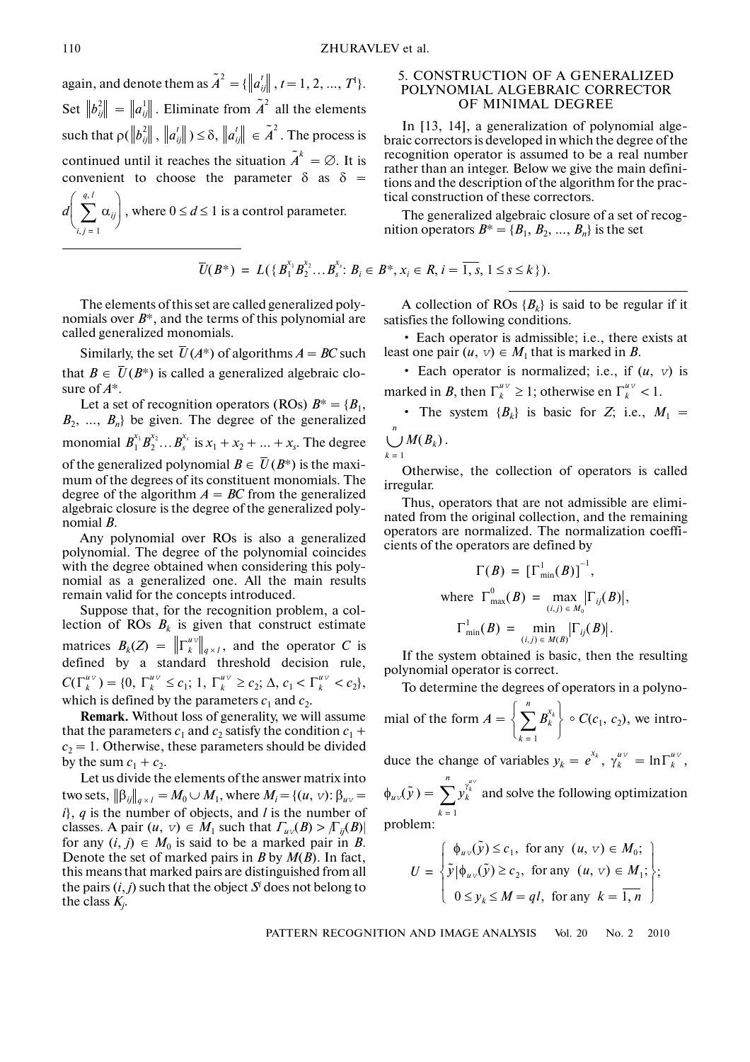again, and denote them as  $\tilde{A}^2 = \{ ||a_{ij}^t||, t = 1, 2, ..., T^t \}.$ Set  $||b_{ij}^2|| = ||a_{ij}||$ . Eliminate from  $\tilde{A}^2$  all the elements  $\text{such that } \rho(\left\|b_{ij}^2\right\|, \left\|a_{ij}^{\prime}\right\|) \leq \delta, \left\|a_{ij}^{\prime}\right\| \in \tilde{A}^2. \text{ The process is }$ continued until it reaches the situation  $\tilde{A}^k = \emptyset$ . It is convenient to choose the parameter  $\delta$  as  $\delta$  =  $d\left| \sum_{i} \alpha_{ij} \right|$ , where  $0 \leq d \leq 1$  is a control parameter.  $i, j = 1$  $\left(\sum_{i,j=1}^{q, l} \alpha_{ij}\right)$ 

$$
\overline{U}(B^*) = L(\{B_1^{x_1}B_2^{x_2}\ldots B_s^{x_s}: B_i \in B^*, x_i \in R, i = \overline{1, s}, 1 \le s \le k\}).
$$

The elements of this set are called generalized poly nomials over *B*\*, and the terms of this polynomial are called generalized monomials.

Similarly, the set  $\overline{U}(A^*)$  of algorithms  $A = BC$  such that  $B \in \overline{U}(B^*)$  is called a generalized algebraic closure of *A*\*.

Let a set of recognition operators (ROs)  $B^* = \{B_1,$  $B_2$ , ...,  $B_n$ } be given. The degree of the generalized monomial  $B_1^{x_1} B_2^{x_2} ... B_s^{x_s}$  is  $x_1 + x_2 + ... + x_s$ . The degree of the generalized polynomial  $B \in \overline{U}(B^*)$  is the maximum of the degrees of its constituent monomials. The degree of the algorithm  $A = BC$  from the generalized algebraic closure is the degree of the generalized poly nomial *B*.

Any polynomial over ROs is also a generalized polynomial. The degree of the polynomial coincides with the degree obtained when considering this poly nomial as a generalized one. All the main results remain valid for the concepts introduced.

Suppose that, for the recognition problem, a col lection of ROs  $B_k$  is given that construct estimate matrices  $B_k(Z) = ||\Gamma_k^{uv}||_{q \times l}$ , and the operator *C* is defined by a standard threshold decision rule,  $C(\Gamma_k^{uv}) = \{0, \Gamma_k^{uv} \le c_1; 1, \Gamma_k^{uv} \ge c_2; \Delta, c_1 < \Gamma_k^{uv} < c_2\},\$ which is defined by the parameters  $c_1$  and  $c_2$ .  $q \times l$ 

**Remark.** Without loss of generality, we will assume that the parameters  $c_1$  and  $c_2$  satisfy the condition  $c_1$  +  $c_2 = 1$ . Otherwise, these parameters should be divided by the sum  $c_1 + c_2$ .

Let us divide the elements of the answer matrix into two sets,  $\|\beta_{ij}\|_{q\times l} = M_0 \cup M_1$ , where  $M_i = \{(u, v): \beta_{uv} =$ *i*}, *q* is the number of objects, and *l* is the number of classes. A pair  $(u, v) \in M_1$  such that  $\Gamma_{uv}(B) > \Gamma_{ii}(B)$ for any  $(i, j) \in M_0$  is said to be a marked pair in *B*. Denote the set of marked pairs in *B* by *M*(*B*). In fact, this means that marked pairs are distinguished from all the pairs  $(i, j)$  such that the object  $S<sup>i</sup>$  does not belong to the class *Kj* .

# 5. CONSTRUCTION OF A GENERALIZED POLYNOMIAL ALGEBRAIC CORRECTOR OF MINIMAL DEGREE

In [13, 14], a generalization of polynomial alge braic correctors is developed in which the degree of the recognition operator is assumed to be a real number rather than an integer. Below we give the main defini tions and the description of the algorithm for the prac tical construction of these correctors.

The generalized algebraic closure of a set of recog nition operators  $B^* = \{B_1, B_2, ..., B_n\}$  is the set

A collection of ROs  ${B_k}$  is said to be regular if it satisfies the following conditions.

• Each operator is admissible; i.e., there exists at least one pair  $(u, v) \in M_1$  that is marked in *B*.

• Each operator is normalized; i.e., if  $(u, v)$  is marked in *B*, then  $\Gamma_k^{uv} \geq 1$ ; otherwise en  $\Gamma_k^{uv} < 1$ .

• The system  ${B_k}$  is basic for *Z*; i.e.,  $M_1 =$ *n*

 $\bigcup^n M(B_k)$  . *k* = 1

Otherwise, the collection of operators is called irregular.

Thus, operators that are not admissible are elimi nated from the original collection, and the remaining operators are normalized. The normalization coeffi cients of the operators are defined by

$$
\Gamma(B) = [\Gamma^1_{\min}(B)]^{-1},
$$
  
where  $\Gamma^0_{\max}(B) = \max_{(i,j) \in M_0} |\Gamma_{ij}(B)|$ ,  
 $\Gamma^1_{\min}(B) = \min_{(i,j) \in M(B)} |\Gamma_{ij}(B)|$ .

If the system obtained is basic, then the resulting polynomial operator is correct.

To determine the degrees of operators in a polyno-

mial of the form  $A = \left\{ \sum B_k^{x_k} \right\} \circ C(c_1, c_2)$ , we intro*k* = 1  $\left\{\sum_{k=1}^n B_k^{x_k}\right\}$ 

duce the change of variables  $y_k = e^{x_k}$ ,  $\gamma_k^{u \nu} = \ln \Gamma_k^{u \nu}$ ,

 $\phi_{uv}(\tilde{y}) = \sum_{k=1}^{n} y_k^{\gamma_k^{\mu_k}}$  and solve the following optimization problem: *k* = 1 *n* ∑

$$
U = \begin{cases} \phi_{uv}(\tilde{y}) \le c_1, & \text{for any } (u, v) \in M_0; \\ \tilde{y}|\phi_{uv}(\tilde{y}) \ge c_2, & \text{for any } (u, v) \in M_1; \\ 0 \le y_k \le M = ql, & \text{for any } k = \overline{1, n} \end{cases};
$$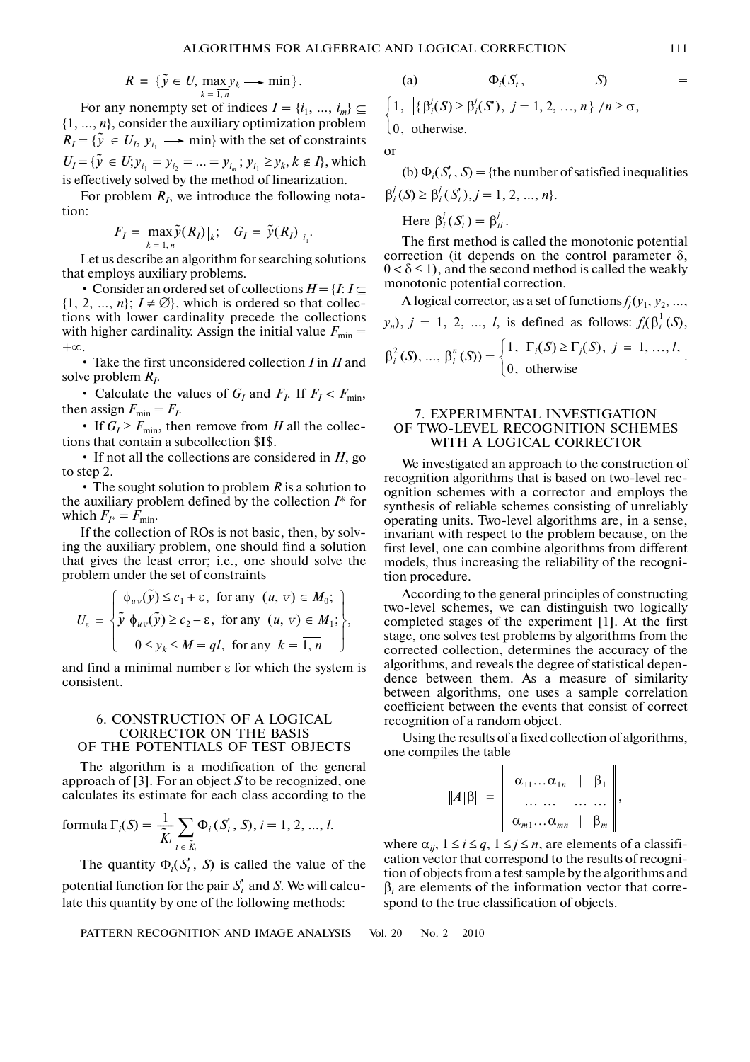$$
R = \{\tilde{y} \in U, \max_{k=1,n} y_k \longrightarrow \min \}.
$$

For any nonempty set of indices  $I = \{i_1, ..., i_m\} \subseteq$ {1, …, *n*}, consider the auxiliary optimization problem  $R_I = \{ \tilde{y} \in U_I, y_{i_1} \longrightarrow \min \}$  with the set of constraints  $U_I = {\tilde{y} \in U; y_{i_1} = y_{i_2} = ... = y_{i_m}; y_{i_1} \geq y_k, k \notin I}$ , which is effectively solved by the method of linearization.

For problem  $R_I$ , we introduce the following notation:

$$
F_I = \max_{k=1,n} \tilde{y}(R_I)|_k; \quad G_I = \tilde{y}(R_I)|_{i_1}.
$$

Let us describe an algorithm for searching solutions that employs auxiliary problems.

• Consider an ordered set of collections  $H = \{I: I \subseteq I\}$  $\{1, 2, ..., n\}; I \neq \emptyset\}$ , which is ordered so that collections with lower cardinality precede the collections with higher cardinality. Assign the initial value  $F_{\min}$  = +∞.

• Take the first unconsidered collection *I* in *H* and solve problem *RI*.

• Calculate the values of  $G_I$  and  $F_I$ . If  $F_I < F_{min}$ , then assign  $F_{\text{min}} = F_I$ .

• If  $G_I \ge F_{\text{min}}$ , then remove from *H* all the collections that contain a subcollection \$I\$.

• If not all the collections are considered in *H*, go to step 2.

• The sought solution to problem *R* is a solution to the auxiliary problem defined by the collection *I*\* for which  $F_{I^*} = F_{\text{min}}$ .

If the collection of ROs is not basic, then, by solv ing the auxiliary problem, one should find a solution that gives the least error; i.e., one should solve the problem under the set of constraints

$$
U_{\varepsilon} = \begin{cases} \phi_{uv}(\tilde{y}) \le c_1 + \varepsilon, & \text{for any } (u, v) \in M_0; \\ \tilde{y}|\phi_{uv}(\tilde{y}) \ge c_2 - \varepsilon, & \text{for any } (u, v) \in M_1; \\ 0 \le y_k \le M = ql, & \text{for any } k = \overline{1, n} \end{cases},
$$

and find a minimal number ε for which the system is consistent.

# 6. CONSTRUCTION OF A LOGICAL CORRECTOR ON THE BASIS OF THE POTENTIALS OF TEST OBJECTS

The algorithm is a modification of the general approach of [3]. For an object *S* to be recognized, one calculates its estimate for each class according to the

formula 
$$
\Gamma_i(S) = \frac{1}{|\tilde{K}_i|} \sum_{t \in \tilde{K}_i} \Phi_i(S'_t, S), i = 1, 2, ..., l.
$$

The quantity  $\Phi_t(S'_t, S)$  is called the value of the potential function for the pair  $S_t$  and *S*. We will calculate this quantity by one of the following methods:

PATTERN RECOGNITION AND IMAGE ANALYSIS Vol. 20 No. 2 2010

$$
\Phi_i(S'_t, S'_t) =
$$

$$
\begin{cases} 1, & |\{\beta_i^j(\mathcal{S}) \geq \beta_i^j(\mathcal{S}'), j = 1, 2, \dots, n\}|/n \geq \sigma, \\ 0, & \text{otherwise.} \end{cases}
$$

or

 $(a)$ 

(b)  $\Phi_i(S'_t, S) = \{$ the number of satisfied inequalities  $\beta_i^j(S) \geq \beta_i^j(S'_t), j = 1, 2, ..., n$ 

Here  $\beta_i^j(S_t^r) = \beta_{ti}^j$ .

The first method is called the monotonic potential correction (it depends on the control parameter  $\delta$ ,  $0 < \delta \le 1$ , and the second method is called the weakly monotonic potential correction.

A logical corrector, as a set of functions  $f_i(y_1, y_2, \ldots,$  $y_n$ ,  $j = 1, 2, ..., l$ , is defined as follows:  $f_i(\beta_i^1(S),$  $\beta_i^2(S), \dots, \beta_i^n(S) = \begin{cases} 1, & \Gamma_i(S) \ge \Gamma_j(S), j = 1, \dots, l, \\ 0, & \dots \end{cases}$  $\begin{cases} 0, & \text{otherwise} \end{cases}$  $\left($ 

# 7. EXPERIMENTAL INVESTIGATION OF TWO-LEVEL RECOGNITION SCHEMES WITH A LOGICAL CORRECTOR

We investigated an approach to the construction of recognition algorithms that is based on two-level rec ognition schemes with a corrector and employs the synthesis of reliable schemes consisting of unreliably operating units. Two-level algorithms are, in a sense, invariant with respect to the problem because, on the first level, one can combine algorithms from different models, thus increasing the reliability of the recogni tion procedure.

According to the general principles of constructing two-level schemes, we can distinguish two logically completed stages of the experiment [1]. At the first stage, one solves test problems by algorithms from the corrected collection, determines the accuracy of the algorithms, and reveals the degree of statistical depen dence between them. As a measure of similarity between algorithms, one uses a sample correlation coefficient between the events that consist of correct recognition of a random object.

Using the results of a fixed collection of algorithms, one compiles the table

$$
||A|\beta|| = \begin{vmatrix} \alpha_{11} \dots \alpha_{1n} & \beta_1 \\ \dots & \dots & \dots \\ \alpha_{m1} \dots \alpha_{mn} & \beta_m \end{vmatrix},
$$

where  $\alpha_{ij}$ ,  $1 \le i \le q$ ,  $1 \le j \le n$ , are elements of a classification vector that correspond to the results of recogni tion of objects from a test sample by the algorithms and  $\beta$ <sub>*i*</sub> are elements of the information vector that correspond to the true classification of objects.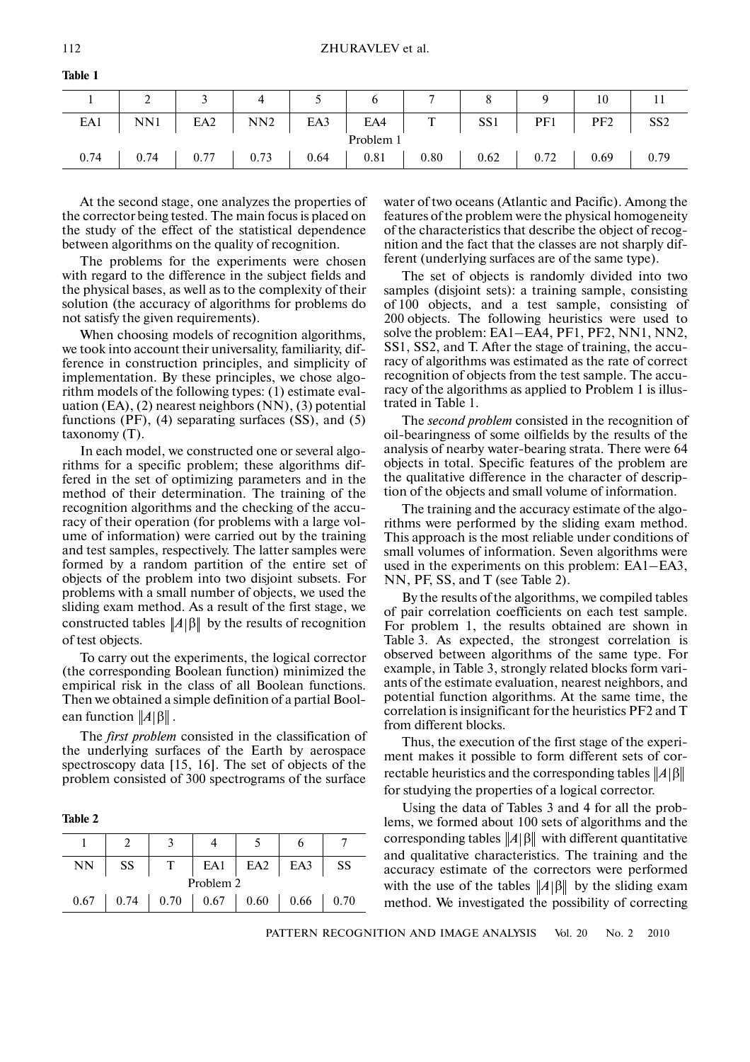|  | 2 3 4 5 6 |  |                                                                | $\begin{array}{ccc} & 7 & \end{array}$ | 8 9 | 10          |  |
|--|-----------|--|----------------------------------------------------------------|----------------------------------------|-----|-------------|--|
|  |           |  | EA1   NN1   EA2   NN2   EA3   EA4   T   SS1   PF1   PF2   SS2  |                                        |     |             |  |
|  |           |  | Problem 1                                                      |                                        |     |             |  |
|  |           |  | $0.74$   0.74   0.77   0.73   0.64   0.81   0.80   0.62   0.72 |                                        |     | $0.69$ 0.79 |  |

**Table 1**

At the second stage, one analyzes the properties of the corrector being tested. The main focus is placed on the study of the effect of the statistical dependence between algorithms on the quality of recognition.

The problems for the experiments were chosen with regard to the difference in the subject fields and the physical bases, as well as to the complexity of their solution (the accuracy of algorithms for problems do not satisfy the given requirements).

When choosing models of recognition algorithms, we took into account their universality, familiarity, dif ference in construction principles, and simplicity of implementation. By these principles, we chose algo rithm models of the following types: (1) estimate eval uation (EA), (2) nearest neighbors (NN), (3) potential functions  $(PF)$ ,  $(4)$  separating surfaces  $(SS)$ , and  $(5)$ taxonomy (T).

In each model, we constructed one or several algo rithms for a specific problem; these algorithms dif fered in the set of optimizing parameters and in the method of their determination. The training of the recognition algorithms and the checking of the accu racy of their operation (for problems with a large vol ume of information) were carried out by the training and test samples, respectively. The latter samples were formed by a random partition of the entire set of objects of the problem into two disjoint subsets. For problems with a small number of objects, we used the sliding exam method. As a result of the first stage, we constructed tables  $||A||$ <sup>β</sup> by the results of recognition of test objects.

To carry out the experiments, the logical corrector (the corresponding Boolean function) minimized the empirical risk in the class of all Boolean functions. Then we obtained a simple definition of a partial Bool ean function  $||A||$ <sup>β</sup>||.

The *first problem* consisted in the classification of the underlying surfaces of the Earth by aerospace spectroscopy data [15, 16]. The set of objects of the problem consisted of 300 spectrograms of the surface

**Table 2**

| NN   | SS |                             | EA1 EA2 | EA3  | SS   |
|------|----|-----------------------------|---------|------|------|
|      |    | Problem 2                   |         |      |      |
| 0.67 |    | $0.74$   0.70   0.67   0.60 |         | 0.66 | 0.70 |

water of two oceans (Atlantic and Pacific). Among the features of the problem were the physical homogeneity of the characteristics that describe the object of recog nition and the fact that the classes are not sharply dif ferent (underlying surfaces are of the same type).

The set of objects is randomly divided into two samples (disjoint sets): a training sample, consisting of 100 objects, and a test sample, consisting of 200 objects. The following heuristics were used to solve the problem: EA1–EA4, PF1, PF2, NN1, NN2, SS1, SS2, and T. After the stage of training, the accu racy of algorithms was estimated as the rate of correct recognition of objects from the test sample. The accu racy of the algorithms as applied to Problem 1 is illus trated in Table 1.

The *second problem* consisted in the recognition of oil-bearingness of some oilfields by the results of the analysis of nearby water-bearing strata. There were 64 objects in total. Specific features of the problem are the qualitative difference in the character of descrip tion of the objects and small volume of information.

The training and the accuracy estimate of the algo rithms were performed by the sliding exam method. This approach is the most reliable under conditions of small volumes of information. Seven algorithms were used in the experiments on this problem: EA1–EA3, NN, PF, SS, and T (see Table 2).

By the results of the algorithms, we compiled tables of pair correlation coefficients on each test sample. For problem 1, the results obtained are shown in Table 3. As expected, the strongest correlation is observed between algorithms of the same type. For example, in Table 3, strongly related blocks form vari ants of the estimate evaluation, nearest neighbors, and potential function algorithms. At the same time, the correlation is insignificant for the heuristics PF2 and T from different blocks.

Thus, the execution of the first stage of the experi ment makes it possible to form different sets of cor rectable heuristics and the corresponding tables *A* β for studying the properties of a logical corrector.

Using the data of Tables 3 and 4 for all the prob lems, we formed about 100 sets of algorithms and the corresponding tables ||A|β|| with different quantitative and qualitative characteristics. The training and the accuracy estimate of the correctors were performed with the use of the tables  $||A||$ <sup>β</sup> by the sliding exam method. We investigated the possibility of correcting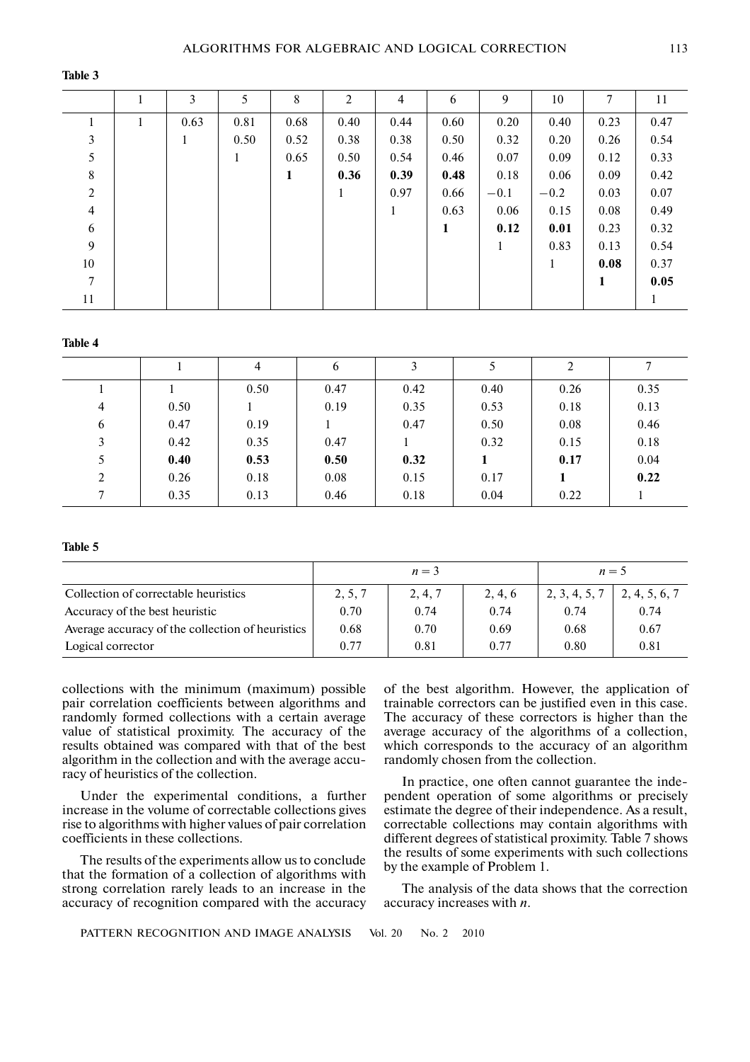#### **Table 3**

|                | 3            | 5            | 8            | $\overline{2}$ | $\overline{4}$ | 6            | 9            | 10           | 7           | 11   |
|----------------|--------------|--------------|--------------|----------------|----------------|--------------|--------------|--------------|-------------|------|
|                | 0.63         | 0.81         | 0.68         | 0.40           | 0.44           | 0.60         | 0.20         | 0.40         | 0.23        | 0.47 |
| 3              | $\mathbf{1}$ | 0.50         | 0.52         | 0.38           | 0.38           | 0.50         | 0.32         | 0.20         | 0.26        | 0.54 |
| 5              |              | $\mathbf{1}$ | 0.65         | 0.50           | 0.54           | 0.46         | 0.07         | 0.09         | 0.12        | 0.33 |
| 8              |              |              | $\mathbf{1}$ | 0.36           | 0.39           | 0.48         | 0.18         | 0.06         | 0.09        | 0.42 |
| $\overline{2}$ |              |              |              | $\mathbf{1}$   | 0.97           | 0.66         | $-0.1$       | $-0.2$       | 0.03        | 0.07 |
| $\overline{4}$ |              |              |              |                | $\mathbf{1}$   | 0.63         | 0.06         | 0.15         | 0.08        | 0.49 |
| 6              |              |              |              |                |                | $\mathbf{1}$ | 0.12         | 0.01         | 0.23        | 0.32 |
| 9              |              |              |              |                |                |              | $\mathbf{1}$ | 0.83         | 0.13        | 0.54 |
| 10             |              |              |              |                |                |              |              | $\mathbf{1}$ | 0.08        | 0.37 |
| $\overline{7}$ |              |              |              |                |                |              |              |              | $\mathbf 1$ | 0.05 |
| 11             |              |              |              |                |                |              |              |              |             |      |

#### **Table 4**

|                |      | 4    | 6    |      |      | 2    |      |
|----------------|------|------|------|------|------|------|------|
|                |      | 0.50 | 0.47 | 0.42 | 0.40 | 0.26 | 0.35 |
| $\overline{4}$ | 0.50 |      | 0.19 | 0.35 | 0.53 | 0.18 | 0.13 |
| 6              | 0.47 | 0.19 |      | 0.47 | 0.50 | 0.08 | 0.46 |
| 3              | 0.42 | 0.35 | 0.47 |      | 0.32 | 0.15 | 0.18 |
| 5              | 0.40 | 0.53 | 0.50 | 0.32 |      | 0.17 | 0.04 |
| 2              | 0.26 | 0.18 | 0.08 | 0.15 | 0.17 |      | 0.22 |
| $\tau$         | 0.35 | 0.13 | 0.46 | 0.18 | 0.04 | 0.22 |      |

## **Table 5**

|                                                  |         | $n=3$   |         |               | $n=5$         |
|--------------------------------------------------|---------|---------|---------|---------------|---------------|
| Collection of correctable heuristics             | 2, 5, 7 | 2, 4, 7 | 2, 4, 6 | 2, 3, 4, 5, 7 | 2, 4, 5, 6, 7 |
| Accuracy of the best heuristic                   | 0.70    | 0.74    | 0.74    | 0.74          | 0.74          |
| Average accuracy of the collection of heuristics | 0.68    | 0.70    | 0.69    | 0.68          | 0.67          |
| Logical corrector                                | 0.77    | 0.81    | 0.77    | 0.80          | 0.81          |

collections with the minimum (maximum) possible pair correlation coefficients between algorithms and randomly formed collections with a certain average value of statistical proximity. The accuracy of the results obtained was compared with that of the best algorithm in the collection and with the average accu racy of heuristics of the collection.

Under the experimental conditions, a further increase in the volume of correctable collections gives rise to algorithms with higher values of pair correlation coefficients in these collections.

The results of the experiments allow us to conclude that the formation of a collection of algorithms with strong correlation rarely leads to an increase in the accuracy of recognition compared with the accuracy of the best algorithm. However, the application of trainable correctors can be justified even in this case. The accuracy of these correctors is higher than the average accuracy of the algorithms of a collection, which corresponds to the accuracy of an algorithm randomly chosen from the collection.

In practice, one often cannot guarantee the inde pendent operation of some algorithms or precisely estimate the degree of their independence. As a result, correctable collections may contain algorithms with different degrees of statistical proximity. Table 7 shows the results of some experiments with such collections by the example of Problem 1.

The analysis of the data shows that the correction accuracy increases with *n*.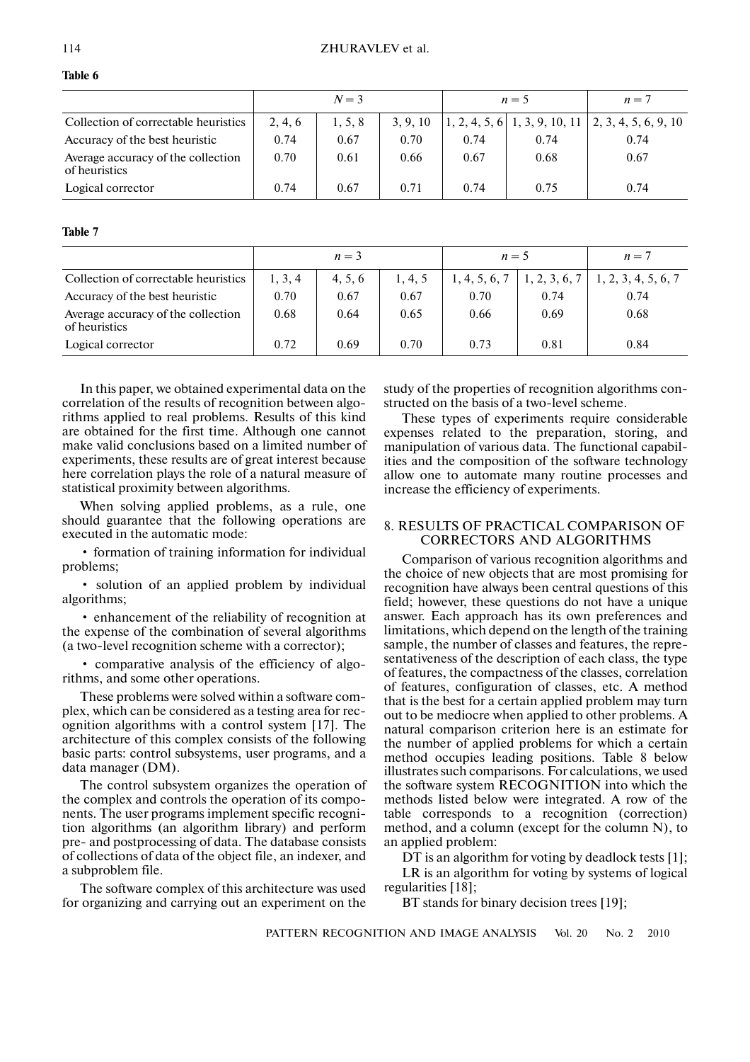| Ш<br>ı<br>٧ |  |
|-------------|--|
|-------------|--|

|                                                     |         | $N=3$   |          |      | $n=5$ | $n=7$                                                                        |
|-----------------------------------------------------|---------|---------|----------|------|-------|------------------------------------------------------------------------------|
| Collection of correctable heuristics                | 2, 4, 6 | 1, 5, 8 | 3, 9, 10 |      |       | $\vert 1, 2, 4, 5, 6 \vert 1, 3, 9, 10, 11 \vert 2, 3, 4, 5, 6, 9, 10 \vert$ |
| Accuracy of the best heuristic                      | 0.74    | 0.67    | 0.70     | 0.74 | 0.74  | 0.74                                                                         |
| Average accuracy of the collection<br>of heuristics | 0.70    | 0.61    | 0.66     | 0.67 | 0.68  | 0.67                                                                         |
| Logical corrector                                   | 0.74    | 0.67    | 0.71     | 0.74 | 0.75  | 0.74                                                                         |

#### **Table 7**

|                                                     |         | $n=3$   |         | $n=5$         |      | $n=7$                                    |
|-----------------------------------------------------|---------|---------|---------|---------------|------|------------------------------------------|
|                                                     |         |         |         |               |      |                                          |
| Collection of correctable heuristics                | 1, 3, 4 | 4, 5, 6 | 1, 4, 5 | 1, 4, 5, 6, 7 |      | $1, 2, 3, 6, 7 \mid 1, 2, 3, 4, 5, 6, 7$ |
| Accuracy of the best heuristic                      | 0.70    | 0.67    | 0.67    | 0.70          | 0.74 | 0.74                                     |
| Average accuracy of the collection<br>of heuristics | 0.68    | 0.64    | 0.65    | 0.66          | 0.69 | 0.68                                     |
| Logical corrector                                   | 0.72    | 0.69    | 0.70    | 0.73          | 0.81 | 0.84                                     |

In this paper, we obtained experimental data on the correlation of the results of recognition between algo rithms applied to real problems. Results of this kind are obtained for the first time. Although one cannot make valid conclusions based on a limited number of experiments, these results are of great interest because here correlation plays the role of a natural measure of statistical proximity between algorithms.

When solving applied problems, as a rule, one should guarantee that the following operations are executed in the automatic mode:

• formation of training information for individual problems;

• solution of an applied problem by individual algorithms;

• enhancement of the reliability of recognition at the expense of the combination of several algorithms (a two-level recognition scheme with a corrector);

• comparative analysis of the efficiency of algo rithms, and some other operations.

These problems were solved within a software com plex, which can be considered as a testing area for rec ognition algorithms with a control system [17]. The architecture of this complex consists of the following basic parts: control subsystems, user programs, and a data manager (DM).

The control subsystem organizes the operation of the complex and controls the operation of its compo nents. The user programs implement specific recogni tion algorithms (an algorithm library) and perform pre- and postprocessing of data. The database consists of collections of data of the object file, an indexer, and a subproblem file.

The software complex of this architecture was used for organizing and carrying out an experiment on the study of the properties of recognition algorithms con structed on the basis of a two-level scheme.

These types of experiments require considerable expenses related to the preparation, storing, and manipulation of various data. The functional capabil ities and the composition of the software technology allow one to automate many routine processes and increase the efficiency of experiments.

# 8. RESULTS OF PRACTICAL COMPARISON OF CORRECTORS AND ALGORITHMS

Comparison of various recognition algorithms and the choice of new objects that are most promising for recognition have always been central questions of this field; however, these questions do not have a unique answer. Each approach has its own preferences and limitations, which depend on the length of the training sample, the number of classes and features, the repre sentativeness of the description of each class, the type of features, the compactness of the classes, correlation of features, configuration of classes, etc. A method that is the best for a certain applied problem may turn out to be mediocre when applied to other problems. A natural comparison criterion here is an estimate for the number of applied problems for which a certain method occupies leading positions. Table 8 below illustrates such comparisons. For calculations, we used the software system RECOGNITION into which the methods listed below were integrated. A row of the table corresponds to a recognition (correction) method, and a column (except for the column N), to an applied problem:

DT is an algorithm for voting by deadlock tests [1]; LR is an algorithm for voting by systems of logical regularities [18];

BT stands for binary decision trees [19];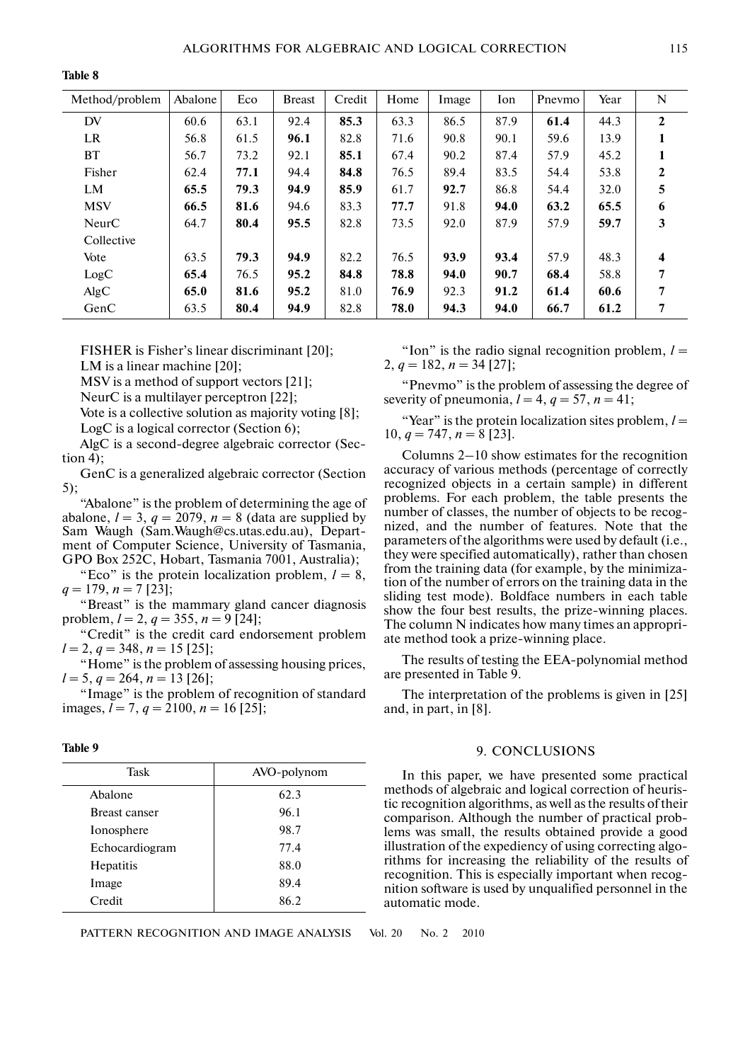**Table 8**

| Method/problem | Abalone | Eco  | <b>Breast</b> | Credit | Home | Image | Ion  | Pnevmo | Year | N                       |
|----------------|---------|------|---------------|--------|------|-------|------|--------|------|-------------------------|
| DV             | 60.6    | 63.1 | 92.4          | 85.3   | 63.3 | 86.5  | 87.9 | 61.4   | 44.3 | $\mathbf{2}$            |
| <b>LR</b>      | 56.8    | 61.5 | 96.1          | 82.8   | 71.6 | 90.8  | 90.1 | 59.6   | 13.9 | 1                       |
| <b>BT</b>      | 56.7    | 73.2 | 92.1          | 85.1   | 67.4 | 90.2  | 87.4 | 57.9   | 45.2 | 1                       |
| Fisher         | 62.4    | 77.1 | 94.4          | 84.8   | 76.5 | 89.4  | 83.5 | 54.4   | 53.8 | $\mathbf{2}$            |
| LM             | 65.5    | 79.3 | 94.9          | 85.9   | 61.7 | 92.7  | 86.8 | 54.4   | 32.0 | 5                       |
| <b>MSV</b>     | 66.5    | 81.6 | 94.6          | 83.3   | 77.7 | 91.8  | 94.0 | 63.2   | 65.5 | 6                       |
| NeurC          | 64.7    | 80.4 | 95.5          | 82.8   | 73.5 | 92.0  | 87.9 | 57.9   | 59.7 | 3                       |
| Collective     |         |      |               |        |      |       |      |        |      |                         |
| Vote           | 63.5    | 79.3 | 94.9          | 82.2   | 76.5 | 93.9  | 93.4 | 57.9   | 48.3 | $\overline{\mathbf{4}}$ |
| LogC           | 65.4    | 76.5 | 95.2          | 84.8   | 78.8 | 94.0  | 90.7 | 68.4   | 58.8 | 7                       |
| AlgC           | 65.0    | 81.6 | 95.2          | 81.0   | 76.9 | 92.3  | 91.2 | 61.4   | 60.6 | 7                       |
| GenC           | 63.5    | 80.4 | 94.9          | 82.8   | 78.0 | 94.3  | 94.0 | 66.7   | 61.2 | 7                       |

FISHER is Fisher's linear discriminant [20];

LM is a linear machine [20];

MSV is a method of support vectors [21];

NeurC is a multilayer perceptron [22];

Vote is a collective solution as majority voting [8]; LogC is a logical corrector (Section 6);

AlgC is a second-degree algebraic corrector (Sec tion 4);

GenC is a generalized algebraic corrector (Section 5);

"Abalone" is the problem of determining the age of abalone,  $l = 3$ ,  $q = 2079$ ,  $n = 8$  (data are supplied by Sam Waugh (Sam.Waugh@cs.utas.edu.au), Depart ment of Computer Science, University of Tasmania, GPO Box 252C, Hobart, Tasmania 7001, Australia);

"Eco" is the protein localization problem,  $l = 8$ ,  $q = 179, n = 7$  [23];

"Breast" is the mammary gland cancer diagnosis problem,  $l = 2$ ,  $q = 355$ ,  $n = 9$  [24];

"Credit" is the credit card endorsement problem  $l = 2, q = 348, n = 15$  [25];

"Home" is the problem of assessing housing prices,  $l = 5, q = 264, n = 13$  [26];

"Image" is the problem of recognition of standard images, *l* = 7, *q* = 2100, *n* = 16 [25];

| ı<br>v<br>I |  |
|-------------|--|
|-------------|--|

| Task           | AVO-polynom |
|----------------|-------------|
| Abalone        | 62.3        |
| Breast canser  | 96.1        |
| Ionosphere     | 98.7        |
| Echocardiogram | 77.4        |
| Hepatitis      | 88.0        |
| Image          | 89.4        |
| Credit         | 86.2        |
|                |             |

PATTERN RECOGNITION AND IMAGE ANALYSIS Vol. 20 No. 2 2010

"Ion" is the radio signal recognition problem,  $l =$ 2,  $q = 182$ ,  $n = 34$  [27];

"Pnevmo" is the problem of assessing the degree of severity of pneumonia,  $l = 4$ ,  $q = 57$ ,  $n = 41$ ;

"Year" is the protein localization sites problem,  $l =$ 10,  $q = 747$ ,  $n = 8$  [23].

Columns 2–10 show estimates for the recognition accuracy of various methods (percentage of correctly recognized objects in a certain sample) in different problems. For each problem, the table presents the number of classes, the number of objects to be recog nized, and the number of features. Note that the parameters of the algorithms were used by default (i.e., they were specified automatically), rather than chosen from the training data (for example, by the minimiza tion of the number of errors on the training data in the sliding test mode). Boldface numbers in each table show the four best results, the prize-winning places. The column N indicates how many times an appropri ate method took a prize-winning place.

The results of testing the EEA-polynomial method are presented in Table 9.

The interpretation of the problems is given in [25] and, in part, in [8].

## 9. CONCLUSIONS

In this paper, we have presented some practical methods of algebraic and logical correction of heuris tic recognition algorithms, as well as the results of their comparison. Although the number of practical prob lems was small, the results obtained provide a good illustration of the expediency of using correcting algo rithms for increasing the reliability of the results of recognition. This is especially important when recog nition software is used by unqualified personnel in the automatic mode.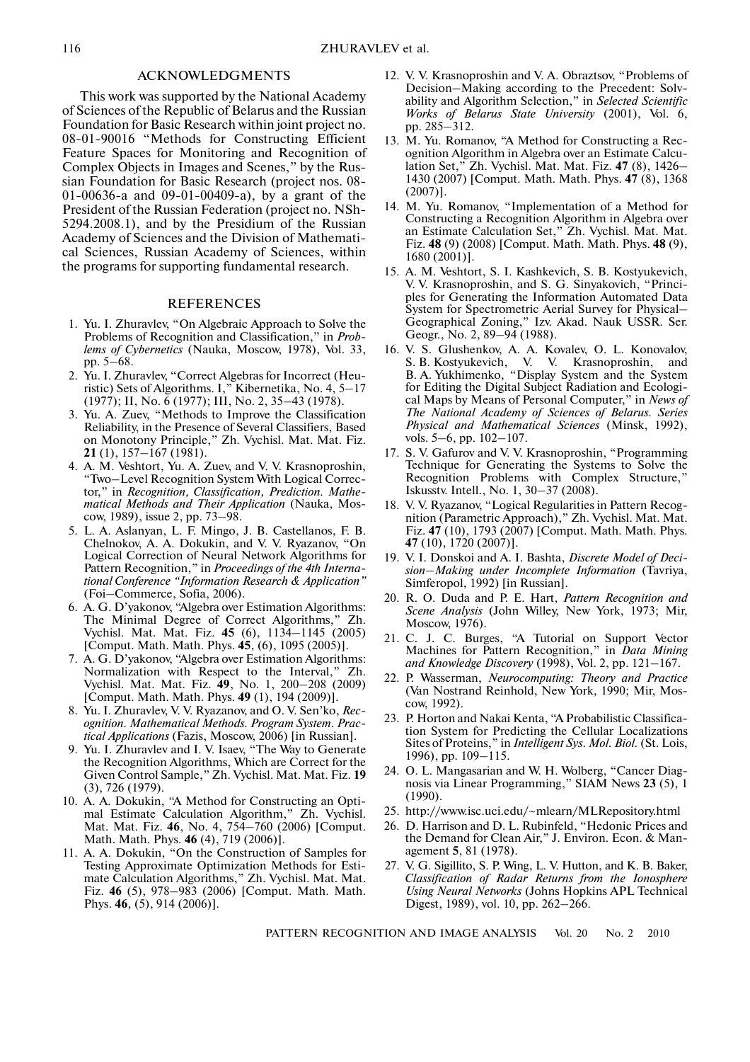## ACKNOWLEDGMENTS

This work was supported by the National Academy of Sciences of the Republic of Belarus and the Russian Foundation for Basic Research within joint project no. 08-01-90016 "Methods for Constructing Efficient Feature Spaces for Monitoring and Recognition of Complex Objects in Images and Scenes," by the Rus sian Foundation for Basic Research (project nos. 08- 01-00636-a and 09-01-00409-a), by a grant of the President of the Russian Federation (project no. NSh- 5294.2008.1), and by the Presidium of the Russian Academy of Sciences and the Division of Mathemati cal Sciences, Russian Academy of Sciences, within the programs for supporting fundamental research.

#### REFERENCES

- 1. Yu. I. Zhuravlev, "On Algebraic Approach to Solve the Problems of Recognition and Classification," in *Prob lems of Cybernetics* (Nauka, Moscow, 1978), Vol. 33, pp. 5–68.
- 2. Yu. I. Zhuravlev, "Correct Algebras for Incorrect (Heu ristic) Sets of Algorithms. I," Kibernetika, No. 4, 5–17 (1977); II, No. 6 (1977); III, No. 2, 35–43 (1978).
- 3. Yu. A. Zuev, "Methods to Improve the Classification Reliability, in the Presence of Several Classifiers, Based on Monotony Principle," Zh. Vychisl. Mat. Mat. Fiz. **21** (1), 157–167 (1981).
- 4. A. M. Veshtort, Yu. A. Zuev, and V. V. Krasnoproshin, "Two–Level Recognition System With Logical Correc tor," in *Recognition, Classification, Prediction. Mathe matical Methods and Their Application* (Nauka, Mos cow, 1989), issue 2, pp. 73–98.
- 5. L. A. Aslanyan, L. F. Mingo, J. B. Castellanos, F. B. Chelnokov, A. A. Dokukin, and V. V. Ryazanov, "On Logical Correction of Neural Network Algorithms for Pattern Recognition," in *Proceedings of the 4th Interna tional Conference "Information Research & Application"* (Foi–Commerce, Sofia, 2006).
- 6. A. G. D'yakonov, "Algebra over Estimation Algorithms: The Minimal Degree of Correct Algorithms," Zh. Vychisl. Mat. Mat. Fiz. **45** (6), 1134–1145 (2005) [Comput. Math. Math. Phys. **45**, (6), 1095 (2005)].
- 7. A. G. D'yakonov, "Algebra over Estimation Algorithms: Normalization with Respect to the Interval," Zh. Vychisl. Mat. Mat. Fiz. **49**, No. 1, 200–208 (2009) [Comput. Math. Math. Phys. **49** (1), 194 (2009)].
- 8. Yu. I. Zhuravlev, V. V. Ryazanov, and O. V. Sen'ko, *Rec ognition. Mathematical Methods. Program System. Prac tical Applications* (Fazis, Moscow, 2006) [in Russian].
- 9. Yu. I. Zhuravlev and I. V. Isaev, "The Way to Generate the Recognition Algorithms, Which are Correct for the Given Control Sample," Zh. Vychisl. Mat. Mat. Fiz. **19** (3), 726 (1979).
- 10. A. A. Dokukin, "A Method for Constructing an Opti mal Estimate Calculation Algorithm," Zh. Vychisl. Mat. Mat. Fiz. **46**, No. 4, 754–760 (2006) [Comput. Math. Math. Phys. **46** (4), 719 (2006)].
- 11. A. A. Dokukin, "On the Construction of Samples for Testing Approximate Optimization Methods for Esti mate Calculation Algorithms," Zh. Vychisl. Mat. Mat. Fiz. **46** (5), 978–983 (2006) [Comput. Math. Math. Phys. **46**, (5), 914 (2006)].
- 12. V. V. Krasnoproshin and V. A. Obraztsov, "Problems of Decision–Making according to the Precedent: Solv ability and Algorithm Selection," in *Selected Scientific Works of Belarus State University* (2001), Vol. 6, pp. 285–312.
- 13. M. Yu. Romanov, "A Method for Constructing a Rec ognition Algorithm in Algebra over an Estimate Calcu lation Set," Zh. Vychisl. Mat. Mat. Fiz. **47** (8), 1426– 1430 (2007) [Comput. Math. Math. Phys. **47** (8), 1368 (2007)].
- 14. M. Yu. Romanov, "Implementation of a Method for Constructing a Recognition Algorithm in Algebra over an Estimate Calculation Set," Zh. Vychisl. Mat. Mat. Fiz. **48** (9) (2008) [Comput. Math. Math. Phys. **48** (9), 1680 (2001)].
- 15. A. M. Veshtort, S. I. Kashkevich, S. B. Kostyukevich, V. V. Krasnoproshin, and S. G. Sinyakovich, "Princi ples for Generating the Information Automated Data System for Spectrometric Aerial Survey for Physical– Geographical Zoning," Izv. Akad. Nauk USSR. Ser. Geogr., No. 2, 89–94 (1988).
- 16. V. S. Glushenkov, A. A. Kovalev, O. L. Konovalov, S. B. Kostyukevich, V. V. Krasnoproshin, and B. A. Yukhimenko, "Display System and the System for Editing the Digital Subject Radiation and Ecologi cal Maps by Means of Personal Computer," in *News of The National Academy of Sciences of Belarus. Series Physical and Mathematical Sciences* (Minsk, 1992), vols. 5–6, pp. 102–107.
- 17. S. V. Gafurov and V. V. Krasnoproshin, "Programming Technique for Generating the Systems to Solve the Recognition Problems with Complex Structure," Iskusstv. Intell., No. 1, 30–37 (2008).
- 18. V. V. Ryazanov, "Logical Regularities in Pattern Recog nition (Parametric Approach)," Zh. Vychisl. Mat. Mat. Fiz. **47** (10), 1793 (2007) [Comput. Math. Math. Phys. **47** (10), 1720 (2007)].
- 19. V. I. Donskoi and A. I. Bashta, *Discrete Model of Deci sion–Making under Incomplete Information* (Tavriya, Simferopol, 1992) [in Russian].
- 20. R. O. Duda and P. E. Hart, *Pattern Recognition and Scene Analysis* (John Willey, New York, 1973; Mir, Moscow, 1976).
- 21. C. J. C. Burges, "A Tutorial on Support Vector Machines for Pattern Recognition," in *Data Mining and Knowledge Discovery* (1998), Vol. 2, pp. 121–167.
- 22. P. Wasserman, *Neurocomputing: Theory and Practice* (Van Nostrand Reinhold, New York, 1990; Mir, Mos cow, 1992).
- 23. P. Horton and Nakai Kenta, "A Probabilistic Classifica tion System for Predicting the Cellular Localizations Sites of Proteins," in *Intelligent Sys. Mol. Biol.* (St. Lois, 1996), pp. 109–115.
- 24. O. L. Mangasarian and W. H. Wolberg, "Cancer Diag nosis via Linear Programming," SIAM News **23** (5), 1 (1990).
- 25. http://www.isc.uci.edu/~mlearn/MLRepository.html
- 26. D. Harrison and D. L. Rubinfeld, "Hedonic Prices and the Demand for Clean Air," J. Environ. Econ. & Man agement **5**, 81 (1978).
- 27. V. G. Sigillito, S. P. Wing, L. V. Hutton, and K. B. Baker, *Classification of Radar Returns from the Ionosphere Using Neural Networks* (Johns Hopkins APL Technical Digest, 1989), vol. 10, pp. 262–266.